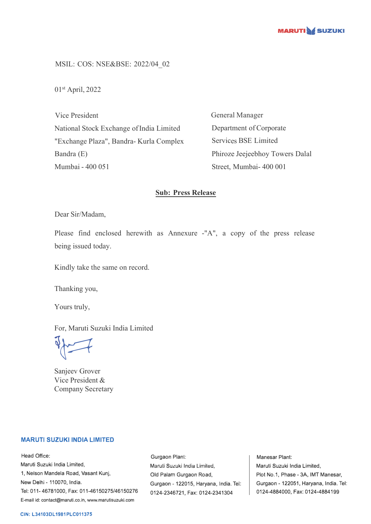

MSIL: COS: NSE&BSE: 2022/04\_02

01st April, 2022

Vice President National Stock Exchange of India Limited "Exchange Plaza", Bandra- Kurla Complex Bandra (E) Mumbai - 400 051

General Manager Department of Corporate Services BSE Limited Phiroze Jeejeebhoy Towers Dalal Street, Mumbai- 400 001

## **Sub: Press Release**

Dear Sir/Madam,

Please find enclosed herewith as Annexure -"A", a copy of the press release being issued today.

Kindly take the same on record.

Thanking you,

Yours truly,

For, Maruti Suzuki India Limited

 $\sqrt{2}$ 

Sanjeev Grover Vice President & Company Secretary

## **MARUTI SUZUKI INDIA LIMITED**

Head Office: Maruti Suzuki India Limited, 1, Nelson Mandela Road, Vasant Kunj, New Delhi - 110070, India. Tel: 011-46781000, Fax: 011-46150275/46150276 E-mail id: contact@maruti.co.in, www.marutisuzuki.com

Gurgaon Plant: Maruli Suzuki India Lirniled, Old Palam Gurgaon Road, Gurgaon - 122015, Haryana, India. Tel: 0124-2346721, Fax: 0124-2341304

Manesar Plant: Maruti Suzuki India Limited, Plot No.1, Phase - 3A, IMT Manesar, Gurgaon - 122051, Haryana, India. Tel: 0124-4884000, Fax: 0124-4884199

## **CIN: L34103DL1981PLC011375**